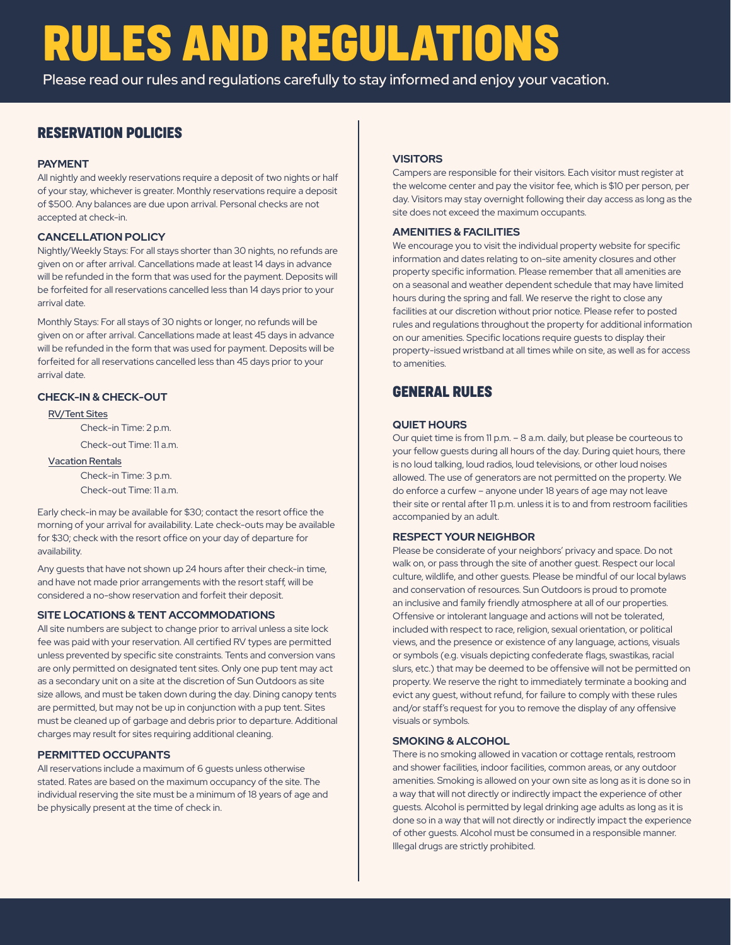## **RULES AND REGULATIONS**

Please read our rules and regulations carefully to stay informed and enjoy your vacation.

## **RESERVATION POLICIES**

## **PAYMENT**

*Please read the Rules & Regulations carefully* All nightly and weekly reservations require a deposit of two nights or half of your stay, whichever is greater. Monthly reservations require a deposit of \$500. Any balances are due upon arrival. Personal checks are not accepted at check-in.

## **CANCELLATION POLICY**

Nightly/Weekly Stays: For all stays shorter than 30 nights, no refunds are given on or after arrival. Cancellations made at least 14 days in advance will be refunded in the form that was used for the payment. Deposits will be forfeited for all reservations cancelled less than 14 days prior to your arrival date.

Monthly Stays: For all stays of 30 nights or longer, no refunds will be given on or after arrival. Cancellations made at least 45 days in advance will be refunded in the form that was used for payment. Deposits will be forfeited for all reservations cancelled less than 45 days prior to your arrival date.

## **CHECK-IN & CHECK-OUT**

#### RV/Tent Sites

Check-in Time: 2 p.m.

Check-out Time: 11 a.m.

## Vacation Rentals

Check-in Time: 3 p.m. Check-out Time: 11 a.m.

Early check-in may be available for \$30; contact the resort office the morning of your arrival for availability. Late check-outs may be available for \$30; check with the resort office on your day of departure for availability.

Any guests that have not shown up 24 hours after their check-in time, and have not made prior arrangements with the resort staff, will be considered a no-show reservation and forfeit their deposit.

#### **SITE LOCATIONS & TENT ACCOMMODATIONS**

All site numbers are subject to change prior to arrival unless a site lock fee was paid with your reservation. All certified RV types are permitted unless prevented by specific site constraints. Tents and conversion vans are only permitted on designated tent sites. Only one pup tent may act as a secondary unit on a site at the discretion of Sun Outdoors as site size allows, and must be taken down during the day. Dining canopy tents are permitted, but may not be up in conjunction with a pup tent. Sites must be cleaned up of garbage and debris prior to departure. Additional charges may result for sites requiring additional cleaning.

#### **PERMITTED OCCUPANTS**

All reservations include a maximum of 6 guests unless otherwise stated. Rates are based on the maximum occupancy of the site. The individual reserving the site must be a minimum of 18 years of age and be physically present at the time of check in.

#### **VISITORS**

Campers are responsible for their visitors. Each visitor must register at the welcome center and pay the visitor fee, which is \$10 per person, per day. Visitors may stay overnight following their day access as long as the site does not exceed the maximum occupants.

#### **AMENITIES & FACILITIES**

We encourage you to visit the individual property website for specific information and dates relating to on-site amenity closures and other property specific information. Please remember that all amenities are on a seasonal and weather dependent schedule that may have limited hours during the spring and fall. We reserve the right to close any facilities at our discretion without prior notice. Please refer to posted rules and regulations throughout the property for additional information on our amenities. Specific locations require guests to display their property-issued wristband at all times while on site, as well as for access to amenities.

## **GENERAL RULES**

#### **QUIET HOURS**

Our quiet time is from 11 p.m. – 8 a.m. daily, but please be courteous to your fellow guests during all hours of the day. During quiet hours, there is no loud talking, loud radios, loud televisions, or other loud noises allowed. The use of generators are not permitted on the property. We do enforce a curfew – anyone under 18 years of age may not leave their site or rental after 11 p.m. unless it is to and from restroom facilities accompanied by an adult.

#### **RESPECT YOUR NEIGHBOR**

Please be considerate of your neighbors' privacy and space. Do not walk on, or pass through the site of another guest. Respect our local culture, wildlife, and other guests. Please be mindful of our local bylaws and conservation of resources. Sun Outdoors is proud to promote an inclusive and family friendly atmosphere at all of our properties. Offensive or intolerant language and actions will not be tolerated, included with respect to race, religion, sexual orientation, or political views, and the presence or existence of any language, actions, visuals or symbols (e.g. visuals depicting confederate flags, swastikas, racial slurs, etc.) that may be deemed to be offensive will not be permitted on property. We reserve the right to immediately terminate a booking and evict any guest, without refund, for failure to comply with these rules and/or staff's request for you to remove the display of any offensive visuals or symbols.

### **SMOKING & ALCOHOL**

There is no smoking allowed in vacation or cottage rentals, restroom and shower facilities, indoor facilities, common areas, or any outdoor amenities. Smoking is allowed on your own site as long as it is done so in a way that will not directly or indirectly impact the experience of other guests. Alcohol is permitted by legal drinking age adults as long as it is done so in a way that will not directly or indirectly impact the experience of other guests. Alcohol must be consumed in a responsible manner. Illegal drugs are strictly prohibited.